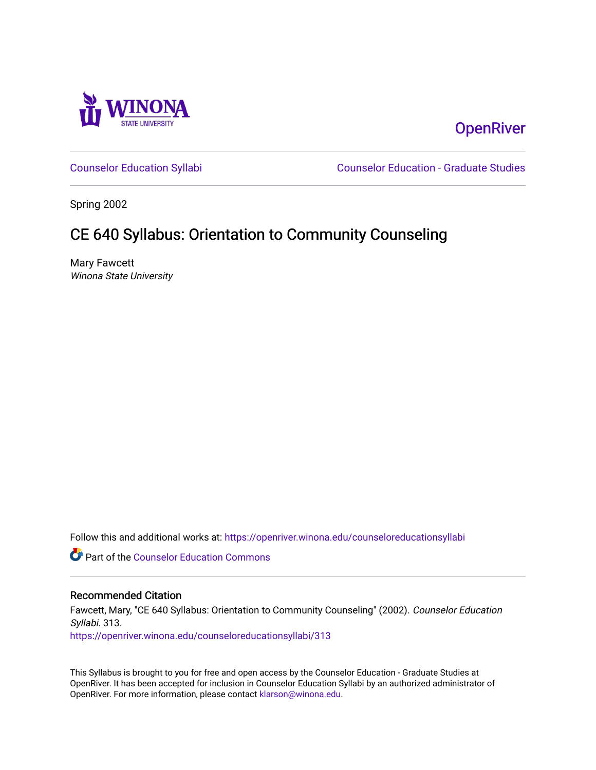

## **OpenRiver**

[Counselor Education Syllabi](https://openriver.winona.edu/counseloreducationsyllabi) [Counselor Education - Graduate Studies](https://openriver.winona.edu/counseloreducation) 

Spring 2002

# CE 640 Syllabus: Orientation to Community Counseling

Mary Fawcett Winona State University

Follow this and additional works at: [https://openriver.winona.edu/counseloreducationsyllabi](https://openriver.winona.edu/counseloreducationsyllabi?utm_source=openriver.winona.edu%2Fcounseloreducationsyllabi%2F313&utm_medium=PDF&utm_campaign=PDFCoverPages)

Part of the [Counselor Education Commons](http://network.bepress.com/hgg/discipline/1278?utm_source=openriver.winona.edu%2Fcounseloreducationsyllabi%2F313&utm_medium=PDF&utm_campaign=PDFCoverPages) 

## Recommended Citation

Fawcett, Mary, "CE 640 Syllabus: Orientation to Community Counseling" (2002). Counselor Education Syllabi. 313.

[https://openriver.winona.edu/counseloreducationsyllabi/313](https://openriver.winona.edu/counseloreducationsyllabi/313?utm_source=openriver.winona.edu%2Fcounseloreducationsyllabi%2F313&utm_medium=PDF&utm_campaign=PDFCoverPages)

This Syllabus is brought to you for free and open access by the Counselor Education - Graduate Studies at OpenRiver. It has been accepted for inclusion in Counselor Education Syllabi by an authorized administrator of OpenRiver. For more information, please contact [klarson@winona.edu](mailto:klarson@winona.edu).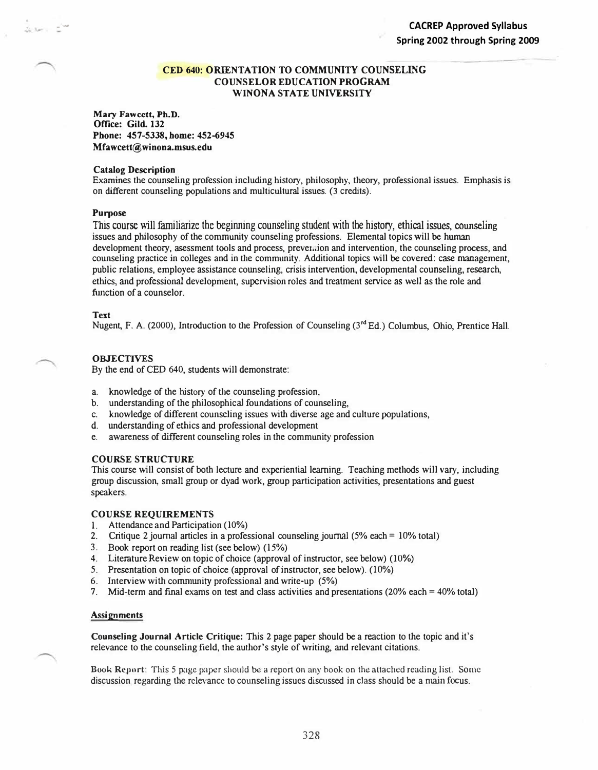## **CED 640: ORIENTATION TO COMMUNITY COUNSELING COUNSELOR EDUCATION PROGRAM WINONA STATE UNIVERSITY**

**Mary Fawcett, Ph.D. Office: Gild. 132 Phone: 457-5338, home: 452-6945 Mfawcett@winona.msus.edu** 

## **Catalog Description**

Examines the counseling profession including history, philosophy, theory, professional issues. Emphasis is on different counseling populations and muJticultural issues. (3 credits).

#### **Purpose**

This course will familiarize the beginning counseling student with the history, ethical issues, counseling issues and philosophy of the community counseling professions. Elemental topics will be hwnan development theory, asessment tools and process, prever.:ion and intervention, the counseling process, and counseling practice in colleges and in the community. Additional topics will be covered: case management, public relations, employee assistance counseling, crisis intervention, developmental counseling, research, ethics, and professional development, supervision roles and treatment service as well as the role and function of a counselor.

#### **Text**

Nugent, F. A. (2000), Introduction to the Profession of Counseling (3<sup>rd</sup> Ed.) Columbus, Ohio, Prentice Hall.

### **OBJECTIVES**

By the end of CED 640, students will demonstrate:

- a. knowledge of the history of the counseling profession,
- b. understanding of the philosophical foundations of counseling,
- c. knowledge of different counseling issues with diverse age and culture populations,
- d. understanding of ethics and professional development
- e. awareness of different counseling roles in the community profession

#### **COURSE STRUCTURE**

This course will consist of both lecture and experiential learning. Teaching meiliods will vary, including group discussion, small group or dyad work, group participation activities, presentations and guest speakers.

#### **COURSE REQUJREMENTS**

- 1. Attendance and Participation (10%)
- 2. Critique 2 journal articles in a professional counseling journal  $(5\% \text{ each} = 10\% \text{ total})$
- 3. Book report on reading list (see below) (15%)
- 4. Literature Review on topic of choice (approval of instructor, see below) **(10%)**
- 5. Presentation on topic of choice (approval of instructor, see below). (10%)
- 6. Interview wiUt community professional and write-up (5%)
- 7. Mid-term and final exams on test and class activities and presentations (20% each = 40% total)

#### **Assignments**

Counseling Journal Article Critique: This 2 page paper should be a reaction to the topic and it's relevance to the counseling field, the author's style of writing, and relevant citations.

Book Report: This 5 page paper should be a report on any book on the attached reading list. Some discussion regarding the relevance to counseling issues discussed in class should be a **main** focus.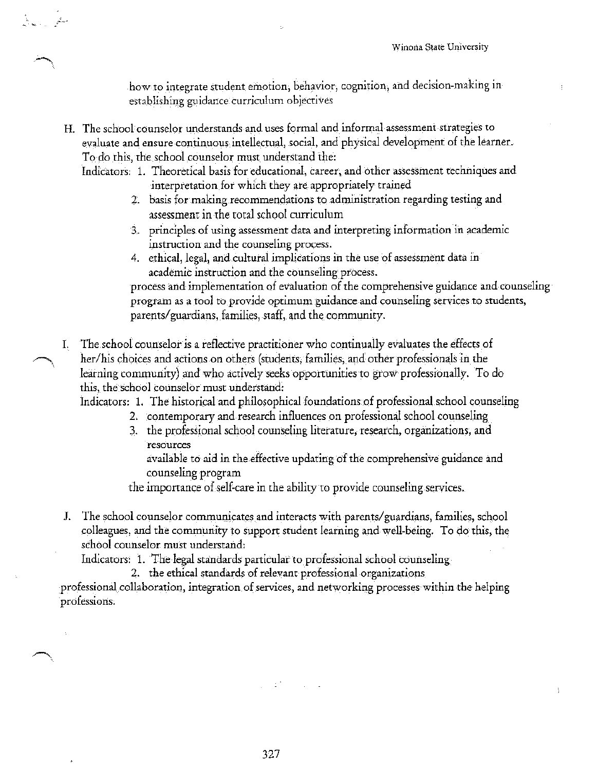how to integrate student emotion, behavior, cognition, and decision-making inestablishing guidance curriculum objectives

H. The school counselor understands and uses formal and informal assessment strategies to evaluate and ensure continuous intellectual, social, and physical development of the learner. To do this, the school counselor must understand the:

ti<br>Armeni Link

- Indicators: 1. Theoretical basis for educational, career, and other assessment techniques and interpretation for which they are appropriately trained
	- 2. basis for making recommendations to administration regarding testing and assessment in the total school curriculum
	- 3. principles of using assessment data and interpreting information in academic instruction and the counseling process.
	- 4. ethical, legal, and cultural implications in the use of assessment data in academic instruction and the counseling process.

process and implementation of evaluation of the comprehensive guidance and counseling program as a tool to provide optimum guidance and counseling services to students, parents/guardians, families, staff, and the community.

The school counselor is a reflective practitioner who continually evaluates the effects of Ι. her/his choices and actions on others (students, families, and other professionals in the learning community) and who actively seeks opportunities to grow professionally. To do this, the school counselor must understand:

Indicators: 1. The historical and philosophical foundations of professional school counseling

- 2. contemporary and research influences on professional school counseling
- 3. the professional school counseling literature, research, organizations, and resources

available to aid in the effective updating of the comprehensive guidance and counseling program

the importance of self-care in the ability to provide counseling services.

J. The school counselor communicates and interacts with parents/guardians, families, school colleagues, and the community to support student learning and well-being. To do this, the school counselor must understand:

Indicators: 1. The legal standards particular to professional school counseling

2. the ethical standards of relevant professional organizations

professional collaboration, integration of services, and networking processes within the helping professions.

i di